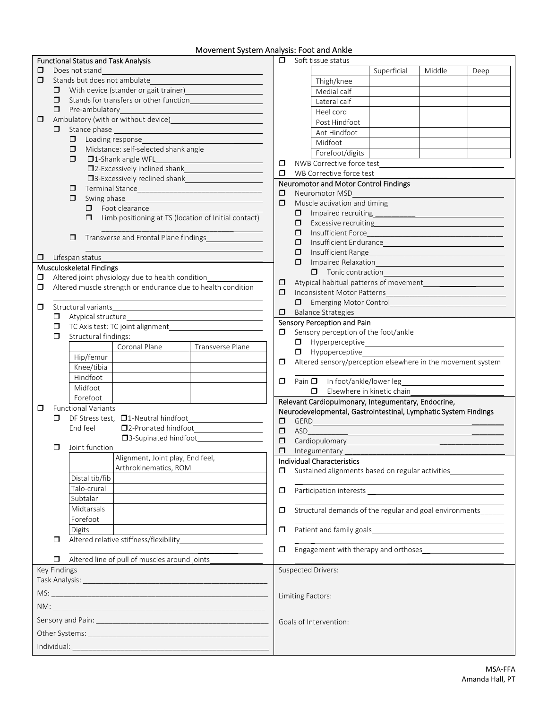## Movement System Analysis: Foot and Ankle

|              |                                                                                                                                                     | <b>Functional Status and Task Analysis</b>                                                                                                                                                                                                                                                                    |                                                   |                  | $\Box$                                                                                                                                                                           | Soft tissue status                                                                                                                                                                                                                                                                                     |                                                             |                            |        |      |  |  |
|--------------|-----------------------------------------------------------------------------------------------------------------------------------------------------|---------------------------------------------------------------------------------------------------------------------------------------------------------------------------------------------------------------------------------------------------------------------------------------------------------------|---------------------------------------------------|------------------|----------------------------------------------------------------------------------------------------------------------------------------------------------------------------------|--------------------------------------------------------------------------------------------------------------------------------------------------------------------------------------------------------------------------------------------------------------------------------------------------------|-------------------------------------------------------------|----------------------------|--------|------|--|--|
| □            | Does not stand                                                                                                                                      |                                                                                                                                                                                                                                                                                                               |                                                   |                  |                                                                                                                                                                                  |                                                                                                                                                                                                                                                                                                        |                                                             | Superficial                | Middle | Deep |  |  |
| □            |                                                                                                                                                     | Stands but does not ambulate                                                                                                                                                                                                                                                                                  |                                                   |                  |                                                                                                                                                                                  |                                                                                                                                                                                                                                                                                                        | Thigh/knee                                                  |                            |        |      |  |  |
|              | With device (stander or gait trainer)<br><u> </u><br>σ.<br>Stands for transfers or other function<br><u>Lettischer</u><br>σ.                        |                                                                                                                                                                                                                                                                                                               |                                                   |                  |                                                                                                                                                                                  |                                                                                                                                                                                                                                                                                                        | Medial calf                                                 |                            |        |      |  |  |
|              |                                                                                                                                                     |                                                                                                                                                                                                                                                                                                               |                                                   |                  |                                                                                                                                                                                  |                                                                                                                                                                                                                                                                                                        | Lateral calf                                                |                            |        |      |  |  |
|              |                                                                                                                                                     | Pre-ambulatory<br>σ.                                                                                                                                                                                                                                                                                          |                                                   |                  |                                                                                                                                                                                  |                                                                                                                                                                                                                                                                                                        |                                                             |                            |        |      |  |  |
| □            |                                                                                                                                                     | Ambulatory (with or without device) Manuscripture and Manuscripture and Manuscripture and Manuscripture and Ma                                                                                                                                                                                                |                                                   |                  |                                                                                                                                                                                  |                                                                                                                                                                                                                                                                                                        | Heel cord                                                   |                            |        |      |  |  |
|              | 0                                                                                                                                                   |                                                                                                                                                                                                                                                                                                               |                                                   |                  |                                                                                                                                                                                  |                                                                                                                                                                                                                                                                                                        | Post Hindfoot                                               |                            |        |      |  |  |
|              |                                                                                                                                                     | Loading response<br>$\Box$                                                                                                                                                                                                                                                                                    |                                                   |                  |                                                                                                                                                                                  |                                                                                                                                                                                                                                                                                                        | Ant Hindfoot                                                |                            |        |      |  |  |
|              |                                                                                                                                                     | Midstance: self-selected shank angle<br>$\Box$                                                                                                                                                                                                                                                                |                                                   |                  |                                                                                                                                                                                  |                                                                                                                                                                                                                                                                                                        | Midfoot                                                     |                            |        |      |  |  |
|              | $\Box$<br>□1-Shank angle WFL                                                                                                                        |                                                                                                                                                                                                                                                                                                               |                                                   |                  |                                                                                                                                                                                  |                                                                                                                                                                                                                                                                                                        | Forefoot/digits                                             |                            |        |      |  |  |
|              | <u> 1989 - Johann Barnett, fransk politiker (</u><br>D2-Excessively inclined shank<br><u>D2-Excessively</u> inclined shank<br><u>D2-Excessively</u> |                                                                                                                                                                                                                                                                                                               |                                                   |                  |                                                                                                                                                                                  |                                                                                                                                                                                                                                                                                                        | NWB Corrective force test                                   |                            |        |      |  |  |
|              |                                                                                                                                                     |                                                                                                                                                                                                                                                                                                               |                                                   |                  |                                                                                                                                                                                  |                                                                                                                                                                                                                                                                                                        | $\Box$<br>WB Corrective force test                          |                            |        |      |  |  |
|              | □3-Excessively reclined shank<br>□3-Excessively reclined shank                                                                                      |                                                                                                                                                                                                                                                                                                               |                                                   |                  |                                                                                                                                                                                  | <b>Neuromotor and Motor Control Findings</b>                                                                                                                                                                                                                                                           |                                                             |                            |        |      |  |  |
|              | σ                                                                                                                                                   |                                                                                                                                                                                                                                                                                                               |                                                   |                  |                                                                                                                                                                                  | Neuromotor MSD<br>$\Box$                                                                                                                                                                                                                                                                               |                                                             |                            |        |      |  |  |
|              |                                                                                                                                                     | Swing phase https://www.archive.com/communications/communications/communications/communications/communications/<br>σ<br>Foot clearance experience and the set of the set of the set of the set of the set of the set of the set of the<br>0<br>Limb positioning at TS (location of Initial contact)<br>$\Box$ |                                                   |                  |                                                                                                                                                                                  | $\Box$<br>Muscle activation and timing<br>σ.<br>$\Box$                                                                                                                                                                                                                                                 |                                                             |                            |        |      |  |  |
|              |                                                                                                                                                     |                                                                                                                                                                                                                                                                                                               |                                                   |                  |                                                                                                                                                                                  |                                                                                                                                                                                                                                                                                                        |                                                             |                            |        |      |  |  |
|              |                                                                                                                                                     |                                                                                                                                                                                                                                                                                                               |                                                   |                  |                                                                                                                                                                                  |                                                                                                                                                                                                                                                                                                        |                                                             |                            |        |      |  |  |
|              |                                                                                                                                                     | Transverse and Frontal Plane findings                                                                                                                                                                                                                                                                         |                                                   |                  |                                                                                                                                                                                  | 0                                                                                                                                                                                                                                                                                                      |                                                             |                            |        |      |  |  |
|              |                                                                                                                                                     | σ                                                                                                                                                                                                                                                                                                             |                                                   |                  | 0<br>Insufficient Endurance<br>Insufficient Range<br>σ.<br><u> 1989 - Johann Barbara, martin da basar da basar da basar da basar da basar da basar da basar da basar da basa</u> |                                                                                                                                                                                                                                                                                                        |                                                             |                            |        |      |  |  |
|              |                                                                                                                                                     |                                                                                                                                                                                                                                                                                                               |                                                   |                  |                                                                                                                                                                                  |                                                                                                                                                                                                                                                                                                        |                                                             |                            |        |      |  |  |
| □            |                                                                                                                                                     | Lifespan status                                                                                                                                                                                                                                                                                               |                                                   |                  |                                                                                                                                                                                  | ο.                                                                                                                                                                                                                                                                                                     |                                                             |                            |        |      |  |  |
|              |                                                                                                                                                     | <b>Musculoskeletal Findings</b>                                                                                                                                                                                                                                                                               |                                                   |                  |                                                                                                                                                                                  | Tonic contraction Subset                                                                                                                                                                                                                                                                               |                                                             |                            |        |      |  |  |
| ◻            |                                                                                                                                                     |                                                                                                                                                                                                                                                                                                               | Altered joint physiology due to health condition_ |                  | □                                                                                                                                                                                | Atypical habitual patterns of movement                                                                                                                                                                                                                                                                 |                                                             |                            |        |      |  |  |
| ◘            | Altered muscle strength or endurance due to health condition                                                                                        |                                                                                                                                                                                                                                                                                                               |                                                   |                  |                                                                                                                                                                                  | Inconsistent Motor Patterns<br>$\Box$<br>Emerging Motor Control <b>Control Control Control Control Control Control Control Control Property Control and American Control of Transferred European Control and American Control and American Control and Amer</b><br><b>Balance Strategies</b><br>$\Box$ |                                                             |                            |        |      |  |  |
|              |                                                                                                                                                     |                                                                                                                                                                                                                                                                                                               |                                                   |                  |                                                                                                                                                                                  |                                                                                                                                                                                                                                                                                                        |                                                             |                            |        |      |  |  |
| □            | Structural variants                                                                                                                                 |                                                                                                                                                                                                                                                                                                               |                                                   |                  |                                                                                                                                                                                  |                                                                                                                                                                                                                                                                                                        |                                                             |                            |        |      |  |  |
|              | σ.                                                                                                                                                  |                                                                                                                                                                                                                                                                                                               |                                                   |                  |                                                                                                                                                                                  |                                                                                                                                                                                                                                                                                                        | Sensory Perception and Pain                                 |                            |        |      |  |  |
|              | σ.                                                                                                                                                  |                                                                                                                                                                                                                                                                                                               |                                                   |                  |                                                                                                                                                                                  | Sensory perception of the foot/ankle<br>σ                                                                                                                                                                                                                                                              |                                                             |                            |        |      |  |  |
|              | ◘                                                                                                                                                   | Structural findings:                                                                                                                                                                                                                                                                                          |                                                   |                  |                                                                                                                                                                                  |                                                                                                                                                                                                                                                                                                        |                                                             |                            |        |      |  |  |
|              |                                                                                                                                                     |                                                                                                                                                                                                                                                                                                               | Coronal Plane                                     | Transverse Plane |                                                                                                                                                                                  |                                                                                                                                                                                                                                                                                                        |                                                             |                            |        |      |  |  |
|              |                                                                                                                                                     | Hip/femur                                                                                                                                                                                                                                                                                                     |                                                   |                  |                                                                                                                                                                                  |                                                                                                                                                                                                                                                                                                        | $\Box$ Hypoperceptive                                       |                            |        |      |  |  |
|              |                                                                                                                                                     | Knee/tibia                                                                                                                                                                                                                                                                                                    |                                                   |                  | $\Box$                                                                                                                                                                           |                                                                                                                                                                                                                                                                                                        | Altered sensory/perception elsewhere in the movement system |                            |        |      |  |  |
|              |                                                                                                                                                     | Hindfoot                                                                                                                                                                                                                                                                                                      |                                                   |                  |                                                                                                                                                                                  |                                                                                                                                                                                                                                                                                                        |                                                             |                            |        |      |  |  |
|              |                                                                                                                                                     | Midfoot                                                                                                                                                                                                                                                                                                       |                                                   |                  | $\Box$                                                                                                                                                                           |                                                                                                                                                                                                                                                                                                        | Pain $\Box$ In foot/ankle/lower leg                         |                            |        |      |  |  |
|              |                                                                                                                                                     | Forefoot                                                                                                                                                                                                                                                                                                      |                                                   |                  |                                                                                                                                                                                  |                                                                                                                                                                                                                                                                                                        | σ.                                                          | Elsewhere in kinetic chain |        |      |  |  |
| ◘            | <b>Functional Variants</b>                                                                                                                          |                                                                                                                                                                                                                                                                                                               |                                                   |                  |                                                                                                                                                                                  |                                                                                                                                                                                                                                                                                                        | Relevant Cardiopulmonary, Integumentary, Endocrine,         |                            |        |      |  |  |
|              | DF Stress test, □1-Neutral hindfoot<br>□<br><u> 1989 - Johann Barbara, martin a</u>                                                                 |                                                                                                                                                                                                                                                                                                               |                                                   |                  |                                                                                                                                                                                  | Neurodevelopmental, Gastrointestinal, Lymphatic System Findings                                                                                                                                                                                                                                        |                                                             |                            |        |      |  |  |
|              |                                                                                                                                                     | □2-Pronated hindfoot<br>□2-Pronated hindfoot<br>End feel                                                                                                                                                                                                                                                      |                                                   |                  | $\Box$<br>GERD<br>$\Box$<br>ASD                                                                                                                                                  |                                                                                                                                                                                                                                                                                                        |                                                             |                            |        |      |  |  |
|              | □3-Supinated hindfoot<br>□                                                                                                                          |                                                                                                                                                                                                                                                                                                               |                                                   |                  | $\Box$<br>Cardiopulomary                                                                                                                                                         |                                                                                                                                                                                                                                                                                                        |                                                             |                            |        |      |  |  |
|              | Joint function<br>◘                                                                                                                                 |                                                                                                                                                                                                                                                                                                               |                                                   |                  | $\Box$                                                                                                                                                                           |                                                                                                                                                                                                                                                                                                        |                                                             |                            |        |      |  |  |
|              | Alignment, Joint play, End feel,                                                                                                                    |                                                                                                                                                                                                                                                                                                               |                                                   |                  |                                                                                                                                                                                  | Integumentary                                                                                                                                                                                                                                                                                          |                                                             |                            |        |      |  |  |
|              | Arthrokinematics, ROM                                                                                                                               |                                                                                                                                                                                                                                                                                                               |                                                   |                  | <b>Individual Characteristics</b><br>Sustained alignments based on regular activities                                                                                            |                                                                                                                                                                                                                                                                                                        |                                                             |                            |        |      |  |  |
|              |                                                                                                                                                     | Distal tib/fib                                                                                                                                                                                                                                                                                                |                                                   |                  | □                                                                                                                                                                                |                                                                                                                                                                                                                                                                                                        |                                                             |                            |        |      |  |  |
|              |                                                                                                                                                     | Talo-crural                                                                                                                                                                                                                                                                                                   |                                                   |                  |                                                                                                                                                                                  |                                                                                                                                                                                                                                                                                                        |                                                             |                            |        |      |  |  |
|              |                                                                                                                                                     | Subtalar                                                                                                                                                                                                                                                                                                      |                                                   |                  | $\Box$                                                                                                                                                                           |                                                                                                                                                                                                                                                                                                        |                                                             |                            |        |      |  |  |
|              |                                                                                                                                                     | Midtarsals                                                                                                                                                                                                                                                                                                    |                                                   |                  |                                                                                                                                                                                  |                                                                                                                                                                                                                                                                                                        |                                                             |                            |        |      |  |  |
|              |                                                                                                                                                     |                                                                                                                                                                                                                                                                                                               |                                                   |                  | ◘                                                                                                                                                                                |                                                                                                                                                                                                                                                                                                        | Structural demands of the regular and goal environments     |                            |        |      |  |  |
|              |                                                                                                                                                     | Forefoot                                                                                                                                                                                                                                                                                                      |                                                   |                  |                                                                                                                                                                                  |                                                                                                                                                                                                                                                                                                        |                                                             |                            |        |      |  |  |
|              |                                                                                                                                                     | <b>Digits</b>                                                                                                                                                                                                                                                                                                 |                                                   |                  | $\Box$                                                                                                                                                                           |                                                                                                                                                                                                                                                                                                        |                                                             |                            |        |      |  |  |
|              | $\Box$                                                                                                                                              |                                                                                                                                                                                                                                                                                                               |                                                   |                  | Engagement with therapy and orthoses                                                                                                                                             |                                                                                                                                                                                                                                                                                                        |                                                             |                            |        |      |  |  |
|              |                                                                                                                                                     |                                                                                                                                                                                                                                                                                                               |                                                   |                  | $\Box$                                                                                                                                                                           |                                                                                                                                                                                                                                                                                                        |                                                             |                            |        |      |  |  |
|              | $\Box$                                                                                                                                              |                                                                                                                                                                                                                                                                                                               | Altered line of pull of muscles around joints     |                  |                                                                                                                                                                                  |                                                                                                                                                                                                                                                                                                        |                                                             |                            |        |      |  |  |
| Key Findings |                                                                                                                                                     |                                                                                                                                                                                                                                                                                                               |                                                   |                  |                                                                                                                                                                                  |                                                                                                                                                                                                                                                                                                        | <b>Suspected Drivers:</b>                                   |                            |        |      |  |  |
|              |                                                                                                                                                     |                                                                                                                                                                                                                                                                                                               |                                                   |                  |                                                                                                                                                                                  |                                                                                                                                                                                                                                                                                                        |                                                             |                            |        |      |  |  |
|              |                                                                                                                                                     |                                                                                                                                                                                                                                                                                                               |                                                   |                  |                                                                                                                                                                                  |                                                                                                                                                                                                                                                                                                        | Limiting Factors:                                           |                            |        |      |  |  |
|              |                                                                                                                                                     |                                                                                                                                                                                                                                                                                                               |                                                   |                  |                                                                                                                                                                                  |                                                                                                                                                                                                                                                                                                        |                                                             |                            |        |      |  |  |
|              |                                                                                                                                                     |                                                                                                                                                                                                                                                                                                               |                                                   |                  |                                                                                                                                                                                  |                                                                                                                                                                                                                                                                                                        |                                                             |                            |        |      |  |  |
|              |                                                                                                                                                     |                                                                                                                                                                                                                                                                                                               |                                                   |                  |                                                                                                                                                                                  |                                                                                                                                                                                                                                                                                                        | Goals of Intervention:                                      |                            |        |      |  |  |
|              |                                                                                                                                                     |                                                                                                                                                                                                                                                                                                               |                                                   |                  |                                                                                                                                                                                  |                                                                                                                                                                                                                                                                                                        |                                                             |                            |        |      |  |  |
|              |                                                                                                                                                     |                                                                                                                                                                                                                                                                                                               |                                                   |                  |                                                                                                                                                                                  |                                                                                                                                                                                                                                                                                                        |                                                             |                            |        |      |  |  |
|              |                                                                                                                                                     |                                                                                                                                                                                                                                                                                                               |                                                   |                  |                                                                                                                                                                                  |                                                                                                                                                                                                                                                                                                        |                                                             |                            |        |      |  |  |